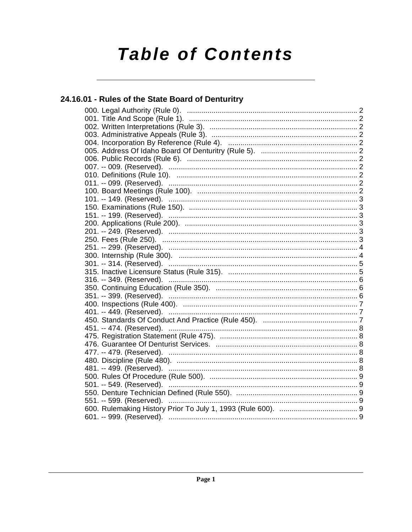# **Table of Contents**

## 24.16.01 - Rules of the State Board of Denturitry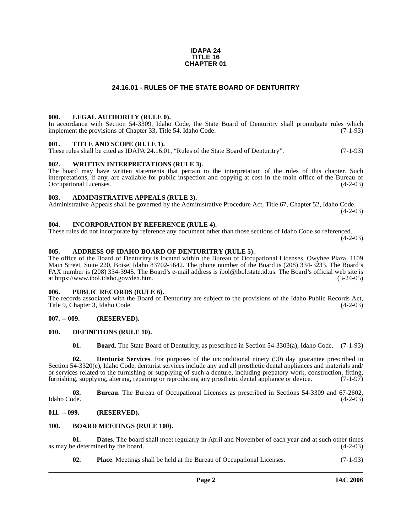#### **IDAPA 24 TITLE 16 CHAPTER 01**

#### **24.16.01 - RULES OF THE STATE BOARD OF DENTURITRY**

#### <span id="page-1-1"></span><span id="page-1-0"></span>**000. LEGAL AUTHORITY (RULE 0).**

In accordance with Section 54-3309, Idaho Code, the State Board of Denturitry shall promulgate rules which implement the provisions of Chapter 33, Title 54, Idaho Code. (7-1-93)

#### <span id="page-1-2"></span>**001. TITLE AND SCOPE (RULE 1).**

These rules shall be cited as IDAPA 24.16.01, "Rules of the State Board of Denturitry". (7-1-93)

#### <span id="page-1-3"></span>**002. WRITTEN INTERPRETATIONS (RULE 3).**

The board may have written statements that pertain to the interpretation of the rules of this chapter. Such interpretations, if any, are available for public inspection and copying at cost in the main office of the Bureau of Occupational Licenses. (4-2-03) Occupational Licenses.

#### <span id="page-1-4"></span>**003. ADMINISTRATIVE APPEALS (RULE 3).**

Administrative Appeals shall be governed by the Administrative Procedure Act, Title 67, Chapter 52, Idaho Code.  $(4-2-03)$ 

#### <span id="page-1-5"></span>**004. INCORPORATION BY REFERENCE (RULE 4).**

These rules do not incorporate by reference any document other than those sections of Idaho Code so referenced.  $(4-2-03)$ 

#### <span id="page-1-6"></span>**005. ADDRESS OF IDAHO BOARD OF DENTURITRY (RULE 5).**

[The office of the Board of Denturitry is located within the Bureau of Occupational Licenses, Owyhee Plaza, 1109](mailto:ibol@ibol.idaho.gov) Main Street, Suite 220, Boise, Idaho 83702-5642. The phone number of the Board is (208) 334-3233. The Board's FAX number is (208) 334-3945. The Board's e-mail address is ibol@ibol.state.id.us. The Board's official web site is [at](mailto:ibol@ibol.idaho.gov) [https://www.ibol.idaho.gov/den.htm. \(3-24-05\)](https://www.ibol.idaho.gov/den.htm)

#### <span id="page-1-7"></span>**006. PUBLIC RECORDS (RULE 6).**

The records associated with the Board of Denturitry are subject to the provisions of the Idaho Public Records Act, Title 9, Chapter 3, Idaho Code. (4-2-03)

#### <span id="page-1-8"></span>**007. -- 009. (RESERVED).**

#### <span id="page-1-9"></span>**010. DEFINITIONS (RULE 10).**

<span id="page-1-15"></span><span id="page-1-14"></span><span id="page-1-12"></span>**01. Board**. The State Board of Denturitry, as prescribed in Section 54-3303(a), Idaho Code. (7-1-93)

**02. Denturist Services**. For purposes of the unconditional ninety (90) day guarantee prescribed in Section 54-3320(c), Idaho Code, denturist services include any and all prosthetic dental appliances and materials and/ or services related to the furnishing or supplying of such a denture, including prepatory work, construction, fitting, furnishing, supplying, altering, repairing or reproducing any prosthetic dental appliance or device. (7-1-97)

**03.** Bureau. The Bureau of Occupational Licenses as prescribed in Sections 54-3309 and 67-2602, Idaho Code. (4-2-03) Idaho Code. (4-2-03)

#### <span id="page-1-10"></span>**011. -- 099. (RESERVED).**

#### <span id="page-1-13"></span><span id="page-1-11"></span>**100. BOARD MEETINGS (RULE 100).**

**01. Dates**. The board shall meet regularly in April and November of each year and at such other times as may be determined by the board.  $(4-2-03)$ 

**02. Place**. Meetings shall be held at the Bureau of Occupational Licenses. (7-1-93)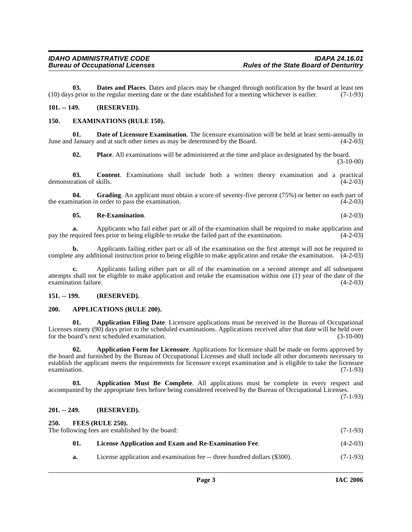**03. Dates and Places**. Dates and places may be changed through notification by the board at least ten (10) days prior to the regular meeting date or the date established for a meeting whichever is earlier. (7-1-93)

#### <span id="page-2-0"></span>**101. -- 149. (RESERVED).**

#### <span id="page-2-9"></span><span id="page-2-1"></span>**150. EXAMINATIONS (RULE 150).**

**01. Date of Licensure Examination**. The licensure examination will be held at least semi-annually in June and January and at such other times as may be determined by the Board. (4-2-03)

**02. Place**. All examinations will be administered at the time and place as designated by the board. (3-10-00)

**03. Content**. Examinations shall include both a written theory examination and a practical ration of skills. (4-2-03) demonstration of skills.

**04.** Grading. An applicant must obtain a score of seventy-five percent (75%) or better on each part of the examination in order to pass the examination. (4-2-03)

#### **05. Re-Examination**. (4-2-03)

**a.** Applicants who fail either part or all of the examination shall be required to make application and equired fees prior to being eligible to retake the failed part of the examination. (4-2-03) pay the required fees prior to being eligible to retake the failed part of the examination.

**b.** Applicants failing either part or all of the examination on the first attempt will not be required to complete any additional instruction prior to being eligible to make application and retake the examination. (4-2-03)

**c.** Applicants failing either part or all of the examination on a second attempt and all subsequent attempts shall not be eligible to make application and retake the examination within one (1) year of the date of the examination failure.

#### <span id="page-2-2"></span>**151. -- 199. (RESERVED).**

#### <span id="page-2-8"></span><span id="page-2-3"></span>**200. APPLICATIONS (RULE 200).**

<span id="page-2-6"></span>**Application Filing Date.** Licensure applications must be received in the Bureau of Occupational Licenses ninety (90) days prior to the scheduled examinations. Applications received after that date will be held over for the board's next scheduled examination. (3-10-00)

<span id="page-2-7"></span>**02. Application Form for Licensure**. Applications for licensure shall be made on forms approved by the board and furnished by the Bureau of Occupational Licenses and shall include all other documents necessary to establish the applicant meets the requirements for licensure except examination and is eligible to take the licensure examination. (7-1-93)  $\alpha$  examination.  $(7-1-93)$ 

**03. Application Must Be Complete**. All applications must be complete in every respect and accompanied by the appropriate fees before being considered received by the Bureau of Occupational Licenses.

(7-1-93)

#### <span id="page-2-4"></span>**201. -- 249. (RESERVED).**

<span id="page-2-11"></span><span id="page-2-10"></span><span id="page-2-5"></span>

| 250.<br>FEES (RULE 250).<br>The following fees are established by the board:<br>$(7-1-93)$ |                                                                           |            |  |
|--------------------------------------------------------------------------------------------|---------------------------------------------------------------------------|------------|--|
| 01.                                                                                        | License Application and Exam and Re-Examination Fee.                      | $(4-2-03)$ |  |
| a.                                                                                         | License application and examination fee -- three hundred dollars (\$300). | $(7-1-93)$ |  |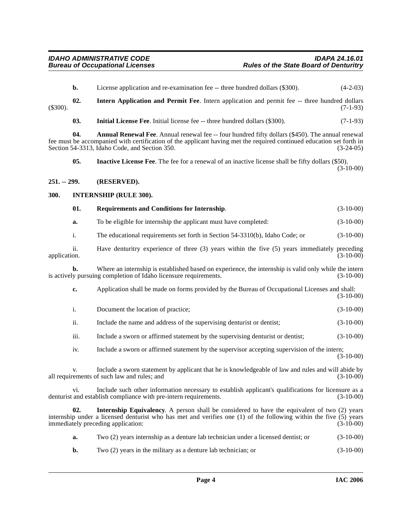<span id="page-3-8"></span><span id="page-3-6"></span><span id="page-3-5"></span><span id="page-3-4"></span><span id="page-3-3"></span><span id="page-3-2"></span><span id="page-3-1"></span><span id="page-3-0"></span>

|              | b.   | License application and re-examination fee -- three hundred dollars (\$300).                                                                                                                                                                                              | $(4-2-03)$  |
|--------------|------|---------------------------------------------------------------------------------------------------------------------------------------------------------------------------------------------------------------------------------------------------------------------------|-------------|
| $(\$300).$   | 02.  | Intern Application and Permit Fee. Intern application and permit fee -- three hundred dollars                                                                                                                                                                             | $(7-1-93)$  |
|              | 03.  | <b>Initial License Fee.</b> Initial license fee -- three hundred dollars (\$300).                                                                                                                                                                                         | $(7-1-93)$  |
|              | 04.  | Annual Renewal Fee. Annual renewal fee -- four hundred fifty dollars (\$450). The annual renewal<br>fee must be accompanied with certification of the applicant having met the required continued education set forth in<br>Section 54-3313, Idaho Code, and Section 350. | $(3-24-05)$ |
|              | 05.  | <b>Inactive License Fee.</b> The fee for a renewal of an inactive license shall be fifty dollars (\$50).                                                                                                                                                                  | $(3-10-00)$ |
| 251. -- 299. |      | (RESERVED).                                                                                                                                                                                                                                                               |             |
| 300.         |      | <b>INTERNSHIP (RULE 300).</b>                                                                                                                                                                                                                                             |             |
|              | 01.  | Requirements and Conditions for Internship.                                                                                                                                                                                                                               | $(3-10-00)$ |
|              | a.   | To be eligible for internship the applicant must have completed:                                                                                                                                                                                                          | $(3-10-00)$ |
|              | i.   | The educational requirements set forth in Section 54-3310(b), Idaho Code; or                                                                                                                                                                                              | $(3-10-00)$ |
| application. | ii.  | Have denturitry experience of three (3) years within the five (5) years immediately preceding                                                                                                                                                                             | $(3-10-00)$ |
|              | b.   | Where an internship is established based on experience, the internship is valid only while the intern<br>is actively pursuing completion of Idaho licensure requirements.                                                                                                 | $(3-10-00)$ |
|              | c.   | Application shall be made on forms provided by the Bureau of Occupational Licenses and shall:                                                                                                                                                                             | $(3-10-00)$ |
|              | i.   | Document the location of practice;                                                                                                                                                                                                                                        | $(3-10-00)$ |
|              | ii.  | Include the name and address of the supervising denturist or dentist;                                                                                                                                                                                                     | $(3-10-00)$ |
|              | iii. | Include a sworn or affirmed statement by the supervising denturist or dentist;                                                                                                                                                                                            | $(3-10-00)$ |
|              | iv.  | Include a sworn or affirmed statement by the supervisor accepting supervision of the intern;                                                                                                                                                                              | $(3-10-00)$ |
|              | v.   | Include a sworn statement by applicant that he is knowledgeable of law and rules and will abide by<br>all requirements of such law and rules; and                                                                                                                         | $(3-10-00)$ |
|              | Vİ.  | Include such other information necessary to establish applicant's qualifications for licensure as a<br>denturist and establish compliance with pre-intern requirements.                                                                                                   | $(3-10-00)$ |
|              | 02.  | <b>Internship Equivalency.</b> A person shall be considered to have the equivalent of two (2) years<br>internship under a licensed denturist who has met and verifies one (1) of the following within the five (5) years<br>immediately preceding application:            | $(3-10-00)$ |
|              | a.   | Two (2) years internship as a denture lab technician under a licensed dentist; or                                                                                                                                                                                         | $(3-10-00)$ |
|              |      |                                                                                                                                                                                                                                                                           |             |

<span id="page-3-7"></span>**b.** Two (2) years in the military as a denture lab technician; or (3-10-00)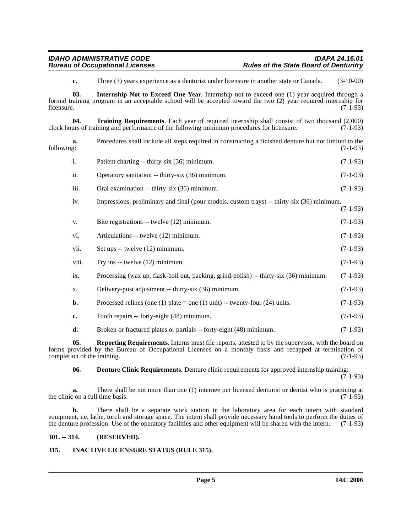<span id="page-4-6"></span><span id="page-4-4"></span>**c.** Three (3) years experience as a denturist under licensure in another state or Canada. (3-10-00)

**03. Internship Not to Exceed One Year**. Internship not to exceed one (1) year acquired through a formal training program in an acceptable school will be accepted toward the two (2) year required internship for  $l$  (7-1-93)  $(7-1-93)$ 

**04. Training Requirements**. Each year of required internship shall consist of two thousand (2,000) urs of training and performance of the following minimum procedures for licensure. (7-1-93) clock hours of training and performance of the following minimum procedures for licensure.

|            | Procedures shall include all steps required in constructing a finished denture but not limited to the |
|------------|-------------------------------------------------------------------------------------------------------|
| following: | $(7-1-93)$                                                                                            |
|            |                                                                                                       |

|      | Patient charting -- thirty-six (36) minimum.     | $(7-1-93)$ |
|------|--------------------------------------------------|------------|
| 11.  | Operatory sanitation -- thirty-six (36) minimum. | $(7-1-93)$ |
| iii. | Oral examination -- thirty-six (36) minimum.     | $(7-1-93)$ |

iv. Impressions, preliminary and final (pour models, custom trays) -- thirty-six (36) minimum. (7-1-93)

| V.    | Bite registrations -- twelve (12) minimum.                                             | $(7-1-93)$ |
|-------|----------------------------------------------------------------------------------------|------------|
| vi.   | Articulations -- twelve (12) minimum.                                                  | $(7-1-93)$ |
| vii.  | Set ups -- twelve (12) minimum.                                                        | $(7-1-93)$ |
| viii. | Try ins -- twelve (12) minimum.                                                        | $(7-1-93)$ |
| ix.   | Processing (wax up, flask-boil out, packing, grind-polish) -- thirty-six (36) minimum. | $(7-1-93)$ |
| X.    | Delivery-post adjustment -- thirty-six (36) minimum.                                   | $(7-1-93)$ |
| b.    | Processed relines (one (1) plate = one (1) unit) -- twenty-four (24) units.            | $(7-1-93)$ |
| c.    | Tooth repairs -- forty-eight (48) minimum.                                             | $(7-1-93)$ |
| d.    | Broken or fractured plates or partials -- forty-eight (48) minimum.                    | $(7-1-93)$ |

**05. Reporting Requirements**. Interns must file reports, attested to by the supervisor, with the board on forms provided by the Bureau of Occupational Licenses on a monthly basis and recapped at termination or completion of the training. (7-1-93) completion of the training.

<span id="page-4-5"></span><span id="page-4-2"></span>**06. Denture Clinic Requirements**. Denture clinic requirements for approved internship training:

 $(7-1-93)$ 

**a.** There shall be not more than one (1) internee per licensed denturist or dentist who is practicing at  $\text{c}$  on a full time basis. (7-1-93) the clinic on a full time basis.

**b.** There shall be a separate work station in the laboratory area for each intern with standard equipment, i.e. lathe, torch and storage space. The intern shall provide necessary hand tools to perform the duties of the denture profession. Use of the operatory facilities and other equipment will be shared with the intern. (7-1-93)

#### <span id="page-4-0"></span>**301. -- 314. (RESERVED).**

### <span id="page-4-3"></span><span id="page-4-1"></span>**315. INACTIVE LICENSURE STATUS (RULE 315).**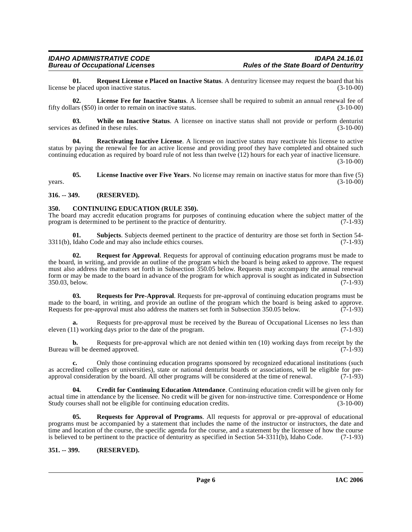<span id="page-5-8"></span>**01. Request License e Placed on Inactive Status**. A denturitry licensee may request the board that his license be placed upon inactive status.

<span id="page-5-5"></span>**02. License Fee for Inactive Status**. A licensee shall be required to submit an annual renewal fee of fifty dollars (\$50) in order to remain on inactive status. (3-10-00)

<span id="page-5-12"></span>**03.** While on Inactive Status. A licensee on inactive status shall not provide or perform denturist as defined in these rules. (3-10-00) services as defined in these rules.

<span id="page-5-7"></span>**04. Reactivating Inactive License**. A licensee on inactive status may reactivate his license to active status by paying the renewal fee for an active license and providing proof they have completed and obtained such continuing education as required by board rule of not less than twelve (12) hours for each year of inactive licensure.

(3-10-00)

<span id="page-5-6"></span>**05. License Inactive over Five Years**. No license may remain on inactive status for more than five (5)  $years.$  (3-10-00)

#### <span id="page-5-0"></span>**316. -- 349. (RESERVED).**

#### <span id="page-5-3"></span><span id="page-5-1"></span>**350. CONTINUING EDUCATION (RULE 350).**

The board may accredit education programs for purposes of continuing education where the subject matter of the program is determined to be pertinent to the practice of denturity. (7-1-93) program is determined to be pertinent to the practice of denturitry.

**01. Subjects**. Subjects deemed pertinent to the practice of denturitry are those set forth in Section 54- 3311(b), Idaho Code and may also include ethics courses. (7-1-93)

<span id="page-5-9"></span>**02. Request for Approval**. Requests for approval of continuing education programs must be made to the board, in writing, and provide an outline of the program which the board is being asked to approve. The request must also address the matters set forth in Subsection 350.05 below. Requests may accompany the annual renewal form or may be made to the board in advance of the program for which approval is sought as indicated in Subsection 350.03, below. (7-1-93)

<span id="page-5-11"></span>**03. Requests for Pre-Approval**. Requests for pre-approval of continuing education programs must be made to the board, in writing, and provide an outline of the program which the board is being asked to approve.<br>Requests for pre-approval must also address the matters set forth in Subsection 350.05 below. (7-1-93) Requests for pre-approval must also address the matters set forth in Subsection 350.05 below.

**a.** Requests for pre-approval must be received by the Bureau of Occupational Licenses no less than eleven (11) working days prior to the date of the program. (7-1-93)

**b.** Requests for pre-approval which are not denied within ten (10) working days from receipt by the Bureau will be deemed approved.  $(7-1-93)$ 

**c.** Only those continuing education programs sponsored by recognized educational institutions (such as accredited colleges or universities), state or national denturist boards or associations, will be eligible for pre-<br>approval consideration by the board. All other programs will be considered at the time of renewal. (7-1 approval consideration by the board. All other programs will be considered at the time of renewal.

<span id="page-5-4"></span>**04. Credit for Continuing Education Attendance**. Continuing education credit will be given only for actual time in attendance by the licensee. No credit will be given for non-instructive time. Correspondence or Home Study courses shall not be eligible for continuing education credits. (3-10-00)

<span id="page-5-10"></span>**05. Requests for Approval of Programs**. All requests for approval or pre-approval of educational programs must be accompanied by a statement that includes the name of the instructor or instructors, the date and time and location of the course, the specific agenda for the course, and a statement by the licensee of how the course is believed to be pertinent to the practice of denturitry as specified in Section 54-3311(b), Idaho Code. (7-1-93)

<span id="page-5-2"></span>**351. -- 399. (RESERVED).**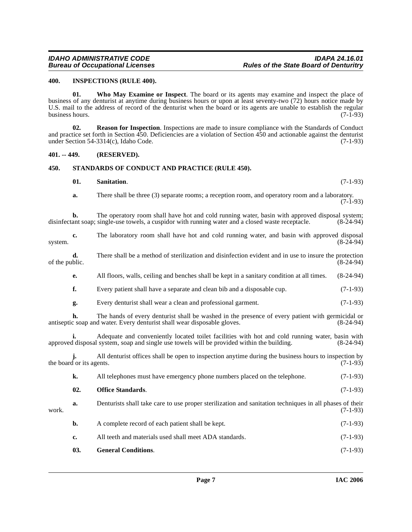#### <span id="page-6-3"></span><span id="page-6-0"></span>**400. INSPECTIONS (RULE 400).**

<span id="page-6-8"></span>**01. Who May Examine or Inspect**. The board or its agents may examine and inspect the place of business of any denturist at anytime during business hours or upon at least seventy-two (72) hours notice made by U.S. mail to the address of record of the denturist when the board or its agents are unable to establish the regular business hours. (7-1-93) business hours.

<span id="page-6-5"></span>**02. Reason for Inspection**. Inspections are made to insure compliance with the Standards of Conduct and practice set forth in Section 450. Deficiencies are a violation of Section 450 and actionable against the denturist under Section 54-3314(c), Idaho Code. (7-1-93)

#### <span id="page-6-1"></span>**401. -- 449. (RESERVED).**

#### <span id="page-6-2"></span>**450. STANDARDS OF CONDUCT AND PRACTICE (RULE 450).**

#### <span id="page-6-7"></span><span id="page-6-6"></span>**01. Sanitation**. (7-1-93)

**a.** There shall be three (3) separate rooms; a reception room, and operatory room and a laboratory.  $(7-1-93)$ 

**b.** The operatory room shall have hot and cold running water, basin with approved disposal system; ant soap; single-use towels, a cuspidor with running water and a closed waste receptacle. (8-24-94) disinfectant soap; single-use towels, a cuspidor with running water and a closed waste receptacle.

| system.        | c.                       | The laboratory room shall have hot and cold running water, and basin with approved disposal                                                                                                   | $(8-24-94)$ |
|----------------|--------------------------|-----------------------------------------------------------------------------------------------------------------------------------------------------------------------------------------------|-------------|
| of the public. | d.                       | There shall be a method of sterilization and disinfection evident and in use to insure the protection                                                                                         | $(8-24-94)$ |
|                | e.                       | All floors, walls, ceiling and benches shall be kept in a sanitary condition at all times.                                                                                                    | $(8-24-94)$ |
|                | f.                       | Every patient shall have a separate and clean bib and a disposable cup.                                                                                                                       | $(7-1-93)$  |
|                | g.                       | Every denturist shall wear a clean and professional garment.                                                                                                                                  | $(7-1-93)$  |
|                | h.                       | The hands of every denturist shall be washed in the presence of every patient with germicidal or<br>antiseptic soap and water. Every denturist shall wear disposable gloves.                  | $(8-24-94)$ |
|                | i.                       | Adequate and conveniently located toilet facilities with hot and cold running water, basin with<br>approved disposal system, soap and single use towels will be provided within the building. | $(8-24-94)$ |
|                | the board or its agents. | All denturist offices shall be open to inspection anytime during the business hours to inspection by                                                                                          | $(7-1-93)$  |
|                | k.                       | All telephones must have emergency phone numbers placed on the telephone.                                                                                                                     | $(7-1-93)$  |
|                | 02.                      | <b>Office Standards.</b>                                                                                                                                                                      | $(7-1-93)$  |
| work.          | a.                       | Denturists shall take care to use proper sterilization and sanitation techniques in all phases of their                                                                                       | $(7-1-93)$  |
|                | b.                       | A complete record of each patient shall be kept.                                                                                                                                              | $(7-1-93)$  |
|                | c.                       | All teeth and materials used shall meet ADA standards.                                                                                                                                        | $(7-1-93)$  |

<span id="page-6-4"></span>**03. General Conditions**. (7-1-93)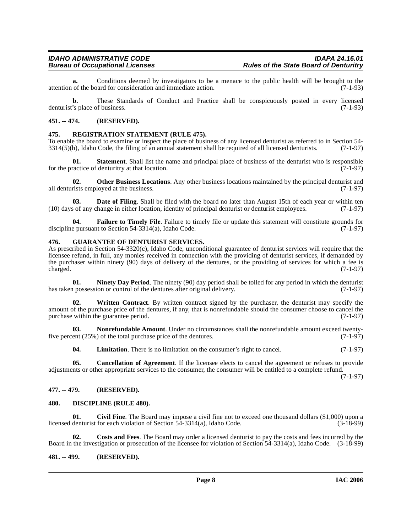**a.** Conditions deemed by investigators to be a menace to the public health will be brought to the of the board for consideration and immediate action. (7-1-93) attention of the board for consideration and immediate action.

**b.** These Standards of Conduct and Practice shall be conspicuously posted in every licensed denturist's place of business. (7-1-93)

#### <span id="page-7-0"></span>**451. -- 474. (RESERVED).**

#### <span id="page-7-17"></span><span id="page-7-1"></span>**475. REGISTRATION STATEMENT (RULE 475).**

To enable the board to examine or inspect the place of business of any licensed denturist as referred to in Section 54-<br>3314(5)(b), Idaho Code, the filing of an annual statement shall be required of all licensed denturists  $3314(5)$ (b), Idaho Code, the filing of an annual statement shall be required of all licensed denturists.

**01. Statement**. Shall list the name and principal place of business of the denturist who is responsible for the practice of denturitry at that location. (7-1-97)

<span id="page-7-16"></span>**02. Other Business Locations**. Any other business locations maintained by the principal denturist and rists employed at the business. (7-1-97) all denturists employed at the business.

<span id="page-7-9"></span>**Date of Filing**. Shall be filed with the board no later than August 15th of each year or within ten (10) days of any change in either location, identity of principal denturist or denturist employees. (7-1-97)

<span id="page-7-11"></span>**Failure to Timely File**. Failure to timely file or update this statement will constitute grounds for the offerties of the Section 54-3314(a), Idaho Code. discipline pursuant to Section  $54-3314(a)$ , Idaho Code.

#### <span id="page-7-12"></span><span id="page-7-2"></span>**476. GUARANTEE OF DENTURIST SERVICES.**

As prescribed in Section 54-3320(c), Idaho Code, unconditional guarantee of denturist services will require that the licensee refund, in full, any monies received in connection with the providing of denturist services, if demanded by the purchaser within ninety (90) days of delivery of the dentures, or the providing of services for which a fee is  $\alpha$  charged.  $(7-1-97)$ 

<span id="page-7-14"></span>**01. Ninety Day Period**. The ninety (90) day period shall be tolled for any period in which the denturist has taken possession or control of the dentures after original delivery. (7-1-97)

<span id="page-7-18"></span>**02. Written Contract**. By written contract signed by the purchaser, the denturist may specify the amount of the purchase price of the dentures, if any, that is nonrefundable should the consumer choose to cancel the purchase within the guarantee period.

**03.** Nonrefundable Amount. Under no circumstances shall the nonrefundable amount exceed twentyfive percent (25%) of the total purchase price of the dentures. (7-1-97)

<span id="page-7-15"></span><span id="page-7-13"></span><span id="page-7-6"></span>**04.** Limitation. There is no limitation on the consumer's right to cancel. (7-1-97)

**05. Cancellation of Agreement**. If the licensee elects to cancel the agreement or refuses to provide adjustments or other appropriate services to the consumer, the consumer will be entitled to a complete refund.

(7-1-97)

#### <span id="page-7-3"></span>**477. -- 479. (RESERVED).**

#### <span id="page-7-10"></span><span id="page-7-7"></span><span id="page-7-4"></span>**480. DISCIPLINE (RULE 480).**

**01. Civil Fine**. The Board may impose a civil fine not to exceed one thousand dollars (\$1,000) upon a licensed denturist for each violation of Section 54-3314(a), Idaho Code. (3-18-99)

<span id="page-7-8"></span>**02. Costs and Fees**. The Board may order a licensed denturist to pay the costs and fees incurred by the Board in the investigation or prosecution of the licensee for violation of Section 54-3314(a), Idaho Code. (3-18-99)

#### <span id="page-7-5"></span>**481. -- 499. (RESERVED).**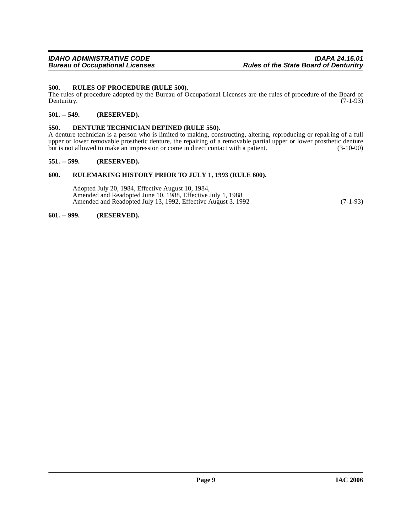#### <span id="page-8-7"></span><span id="page-8-0"></span>**500. RULES OF PROCEDURE (RULE 500).**

The rules of procedure adopted by the Bureau of Occupational Licenses are the rules of procedure of the Board of Denturity. (7-1-93) Denturitry. (7-1-93)

#### <span id="page-8-1"></span>**501. -- 549. (RESERVED).**

#### <span id="page-8-6"></span><span id="page-8-2"></span>**550. DENTURE TECHNICIAN DEFINED (RULE 550).**

A denture technician is a person who is limited to making, constructing, altering, reproducing or repairing of a full upper or lower removable prosthetic denture, the repairing of a removable partial upper or lower prosthetic denture<br>but is not allowed to make an impression or come in direct contact with a patient. (3-10-00) but is not allowed to make an impression or come in direct contact with a patient.

#### <span id="page-8-3"></span>**551. -- 599. (RESERVED).**

#### <span id="page-8-4"></span>**600. RULEMAKING HISTORY PRIOR TO JULY 1, 1993 (RULE 600).**

Adopted July 20, 1984, Effective August 10, 1984, Amended and Readopted June 10, 1988, Effective July 1, 1988 Amended and Readopted July 13, 1992, Effective August 3, 1992 (7-1-93)

#### <span id="page-8-5"></span>**601. -- 999. (RESERVED).**